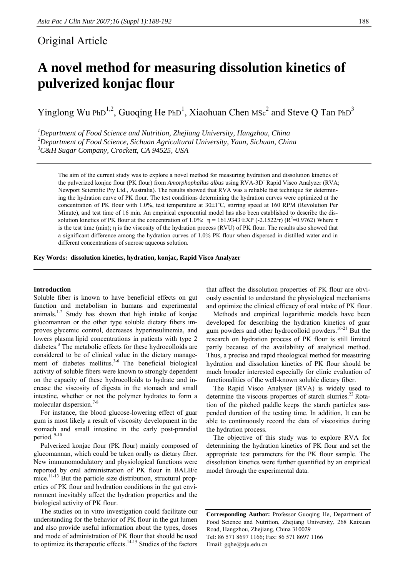## Original Article

# **A novel method for measuring dissolution kinetics of pulverized konjac flour**

Yinglong Wu PhD<sup>1,2</sup>, Guoqing He PhD<sup>1</sup>, Xiaohuan Chen MSc<sup>2</sup> and Steve Q Tan PhD<sup>3</sup>

*1 Department of Food Science and Nutrition, Zhejiang University, Hangzhou, China 2 Department of Food Science, Sichuan Agricultural University, Yaan, Sichuan, China 3 C&H Sugar Company, Crockett, CA 94525, USA* 

The aim of the current study was to explore a novel method for measuring hydration and dissolution kinetics of the pulverized konjac flour (PK flour) from *Amorphophallus albus* using RVA-3D<sup>+</sup> Rapid Visco Analyzer (RVA; Newport Scientific Pty Ltd., Australia). The results showed that RVA was a reliable fast technique for determining the hydration curve of PK flour. The test conditions determining the hydration curves were optimized at the concentration of PK flour with 1.0%, test temperature at 30±1˚C, stirring speed at 160 RPM (Revolution Per Minute), and test time of 16 min. An empirical exponential model has also been established to describe the dissolution kinetics of PK flour at the concentration of 1.0%:  $η = 161.9343$ ·EXP (-2.1522/τ) (R<sup>2</sup>=0.9762) Where τ is the test time (min); η is the viscosity of the hydration process (RVU) of PK flour. The results also showed that a significant difference among the hydration curves of 1.0% PK flour when dispersed in distilled water and in different concentrations of sucrose aqueous solution.

#### **Key Words: dissolution kinetics, hydration, konjac, Rapid Visco Analyzer**

#### **Introduction**

Soluble fiber is known to have beneficial effects on gut function and metabolism in humans and experimental animals.1-2 Study has shown that high intake of konjac glucomannan or the other type soluble dietary fibers improves glycemic control, decreases hyperinsulinemia, and lowers plasma lipid concentrations in patients with type 2 diabetes.<sup>3</sup> The metabolic effects for these hydrocolloids are considered to be of clinical value in the dietary management of diabetes mellitus.<sup>3-6</sup> The beneficial biological activity of soluble fibers were known to strongly dependent on the capacity of these hydrocolloids to hydrate and increase the viscosity of digesta in the stomach and small intestine, whether or not the polymer hydrates to form a molecular dispersion.<sup>7-8</sup>

 For instance, the blood glucose-lowering effect of guar gum is most likely a result of viscosity development in the stomach and small intestine in the early post-prandial period. 9-10

 Pulverized konjac flour (PK flour) mainly composed of glucomannan, which could be taken orally as dietary fiber. New immunomodulatory and physiological functions were reported by oral administration of PK flour in BALB/c mice.<sup>11-13</sup> But the particle size distribution, structural properties of PK flour and hydration conditions in the gut environment inevitably affect the hydration properties and the biological activity of PK flour.

 The studies on in vitro investigation could facilitate our understanding for the behavior of PK flour in the gut lumen and also provide useful information about the types, doses and mode of administration of PK flour that should be used to optimize its therapeutic effects.<sup>14-15</sup> Studies of the factors

that affect the dissolution properties of PK flour are obviously essential to understand the physiological mechanisms and optimize the clinical efficacy of oral intake of PK flour.

 Methods and empirical logarithmic models have been developed for describing the hydration kinetics of guar gum powders and other hydrocolloid powders.16-21 But the research on hydration process of PK flour is still limited partly because of the availability of analytical method. Thus, a precise and rapid rheological method for measuring hydration and dissolution kinetics of PK flour should be much broader interested especially for clinic evaluation of functionalities of the well-known soluble dietary fiber.

 The Rapid Visco Analyser (RVA) is widely used to determine the viscous properties of starch slurries.<sup>22</sup> Rotation of the pitched paddle keeps the starch particles suspended duration of the testing time. In addition, It can be able to continuously record the data of viscosities during the hydration process.

 The objective of this study was to explore RVA for determining the hydration kinetics of PK flour and set the appropriate test parameters for the PK flour sample. The dissolution kinetics were further quantified by an empirical model through the experimental data.

**Corresponding Author:** Professor Guoqing He, Department of Food Science and Nutrition, Zhejiang University, 268 Kaixuan Road, Hangzhou, Zhejiang, China 310029 Tel: 86 571 8697 1166; Fax: 86 571 8697 1166 Email: gqhe@zju.edu.cn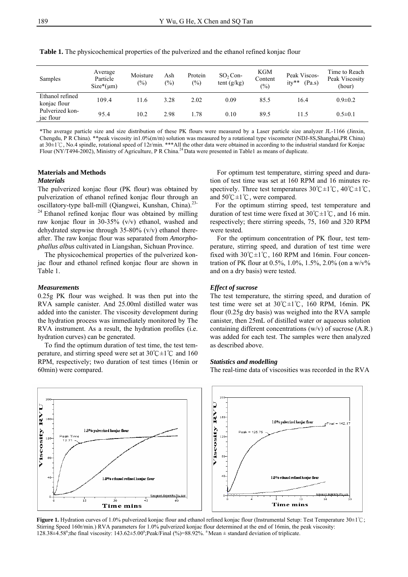| Samples                         | Average<br>Particle<br>$Size*(\mu m)$ | Moisture<br>$(\%)$ | Ash<br>$(\%)$ | Protein<br>$(\%)$ | $SO2$ Con-<br>tent $(g/kg)$ | <b>KGM</b><br>Content<br>$\frac{6}{2}$ | Peak Viscos-<br>ity**<br>(Pa.s) | Time to Reach<br>Peak Viscosity<br>(hour) |
|---------------------------------|---------------------------------------|--------------------|---------------|-------------------|-----------------------------|----------------------------------------|---------------------------------|-------------------------------------------|
| Ethanol refined<br>konjac flour | 109.4                                 | l 1.6              | 3.28          | 2.02              | 0.09                        | 85.5                                   | 16.4                            | $0.9 \pm 0.2$                             |
| Pulverized kon-<br>jac flour    | 95.4                                  | 10.2               | 2.98          | 1.78              | 0.10                        | 89.5                                   | 11.5                            | $0.5 \pm 0.1$                             |

**Table 1.** The physicochemical properties of the pulverized and the ethanol refined konjac flour

\*The average particle size and size distribution of these PK flours were measured by a Laser particle size analyzer JL-1166 (Jinxin, Chengdu, P R China). \*\*peak viscosity in1.0%(m/m) solution was measured by a rotational type viscometer (NDJ-8S,Shanghai,PR China) at 30±1℃, No.4 spindle, rotational speed of 12r/min. \*\*\*All the other data were obtained in according to the industrial standard for Konjac Flour (NY/T494-2002), Ministry of Agriculture, P R China.<sup>24</sup> Data were presented in Table1 as means of duplicate.

### **Materials and Methods**

#### *Materials*

The pulverized konjac flour (PK flour) was obtained by pulverization of ethanol refined konjac flour through an oscillatory-type ball-mill (Qiangwei, Kunshan, China).<sup>23-</sup> <sup>24</sup> Ethanol refined konjac flour was obtained by milling raw konjac flour in 30-35% (v/v) ethanol, washed and dehydrated stepwise through  $35-80\%$  (v/v) ethanol thereafter. The raw konjac flour was separated from *Amorphophallus albus* cultivated in Liangshan, Sichuan Province.

 The physicochemical properties of the pulverized konjac flour and ethanol refined konjac flour are shown in Table 1.

#### *Measurements*

0.25g PK flour was weighed. It was then put into the RVA sample canister. And 25.00ml distilled water was added into the canister. The viscosity development during the hydration process was immediately monitored by The RVA instrument. As a result, the hydration profiles (i.e. hydration curves) can be generated.

 To find the optimum duration of test time, the test temperature, and stirring speed were set at  $30^{\circ}$ C $\pm$ 1°C and 160 RPM, respectively; two duration of test times (16min or 60min) were compared.

 For optimum test temperature, stirring speed and duration of test time was set at 160 RPM and 16 minutes respectively. Three test temperatures 30°C±1°C, 40°C±1°C, and 50℃±1℃, were compared.

 For the optimum stirring speed, test temperature and duration of test time were fixed at  $30^{\circ}$ C $\pm$ 1°C, and 16 min. respectively; there stirring speeds, 75, 160 and 320 RPM were tested.

 For the optimum concentration of PK flour, test temperature, stirring speed, and duration of test time were fixed with 30℃±1℃, 160 RPM and 16min. Four concentration of PK flour at 0.5%, 1.0%, 1.5%, 2.0% (on a  $w/v\%$ and on a dry basis) were tested.

#### *Effect of sucrose*

The test temperature, the stirring speed, and duration of test time were set at  $30^{\circ}$ C $\pm$ 1°C, 160 RPM, 16min. PK flour (0.25g dry basis) was weighed into the RVA sample canister, then 25mL of distilled water or aqueous solution containing different concentrations (w/v) of sucrose (A.R.) was added for each test. The samples were then analyzed as described above.

#### *Statistics and modelling*

The real-time data of viscosities was recorded in the RVA



**Figure 1.** Hydration curves of 1.0% pulverized konjac flour and ethanol refined konjac flour (Instrumental Setup: Test Temperature 30±1℃; Stirring Speed 160r/min.) RVA parameters for 1.0% pulverized konjac flour determined at the end of 16min, the peak viscosity:  $128.38\pm4.58^{\circ}$ ;the final viscosity:  $143.62\pm5.00^{\circ}$ ;Peak/Final (%)=88.92%. <sup>a</sup> Mean  $\pm$  standard deviation of triplicate.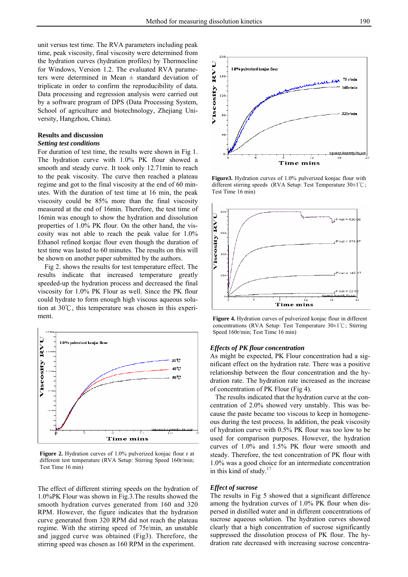unit versus test time. The RVA parameters including peak time, peak viscosity, final viscosity were determined from the hydration curves (hydration profiles) by Thermocline for Windows, Version 1.2. The evaluated RVA parameters were determined in Mean ± standard deviation of triplicate in order to confirm the reproducibility of data. Data processing and regression analysis were carried out by a software program of DPS (Data Processing System, School of agriculture and biotechnology, Zhejiang University, Hangzhou, China).

#### **Results and discussion**

#### *Setting test conditions*

For duration of test time, the results were shown in Fig 1. The hydration curve with 1.0% PK flour showed a smooth and steady curve. It took only 12.71min to reach to the peak viscosity. The curve then reached a plateau regime and got to the final viscosity at the end of 60 minutes. With the duration of test time at 16 min, the peak viscosity could be 85% more than the final viscosity measured at the end of 16min. Therefore, the test time of 16min was enough to show the hydration and dissolution properties of 1.0% PK flour. On the other hand, the viscosity was not able to reach the peak value for 1.0% Ethanol refined konjac flour even though the duration of test time was lasted to 60 minutes. The results on this will be shown on another paper submitted by the authors.

Fig 2. shows the results for test temperature effect. The results indicate that increased temperature greatly speeded-up the hydration process and decreased the final viscosity for 1.0% PK Flour as well. Since the PK flour could hydrate to form enough high viscous aqueous solution at 30℃, this temperature was chosen in this experiment.



**Figure 2.** Hydration curves of 1.0% pulverized konjac flour r at different test temperature (RVA Setup: Stirring Speed 160r/min; Test Time 16 min)

The effect of different stirring speeds on the hydration of 1.0%PK Flour was shown in Fig.3.The results showed the smooth hydration curves generated from 160 and 320 RPM. However, the figure indicates that the hydration curve generated from 320 RPM did not reach the plateau regime. With the stirring speed of 75r/min, an unstable and jagged curve was obtained (Fig3). Therefore, the stirring speed was chosen as 160 RPM in the experiment.



**Figure3.** Hydration curves of 1.0% pulverized konjac flour with different stirring speeds (RVA Setup: Test Temperature 30±1℃; Test Time 16 min)



**Figure 4.** Hydration curves of pulverized konjac flour in different concentrations (RVA Setup: Test Temperature 30±1℃; Stirring Speed 160r/min; Test Time 16 min)

#### *Effects of PK flour concentration*

As might be expected, PK Flour concentration had a significant effect on the hydration rate. There was a positive relationship between the flour concentration and the hydration rate. The hydration rate increased as the increase of concentration of PK Flour (Fig 4).

 The results indicated that the hydration curve at the concentration of 2.0% showed very unstably. This was because the paste became too viscous to keep in homogeneous during the test process. In addition, the peak viscosity of hydration curve with 0.5% PK flour was too low to be used for comparison purposes. However, the hydration curves of 1.0% and 1.5% PK flour were smooth and steady. Therefore, the test concentration of PK flour with 1.0% was a good choice for an intermediate concentration in this kind of study.<sup>17</sup>

#### *Effect of sucrose*

The results in Fig 5 showed that a significant difference among the hydration curves of 1.0% PK flour when dispersed in distilled water and in different concentrations of sucrose aqueous solution. The hydration curves showed clearly that a high concentration of sucrose significantly suppressed the dissolution process of PK flour. The hydration rate decreased with increasing sucrose concentra-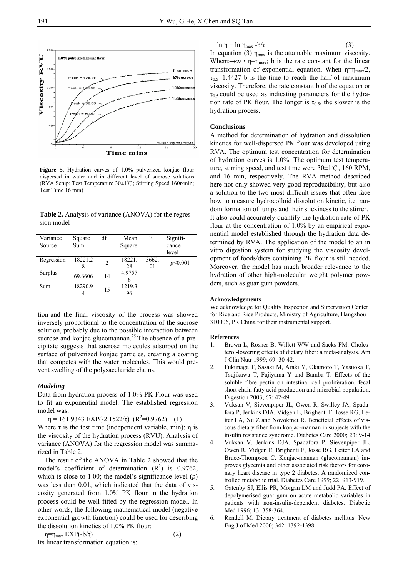

**Figure 5.** Hydration curves of 1.0% pulverized konjac flour dispersed in water and in different level of sucrose solutions (RVA Setup: Test Temperature  $30±1^{\circ}$ C; Stirring Speed 160r/min; Test Time 16 min)

**Table 2.** Analysis of variance (ANOVA) for the regression model

| Variance   | Square     | df             | Mean   | F              | Signifi- |
|------------|------------|----------------|--------|----------------|----------|
| Source     | <b>Sum</b> |                | Square |                | cance    |
|            |            |                |        |                | level    |
| Regression | 18221.2    | $\overline{c}$ | 18221. | 3662.          | p<0.001  |
|            | 8          |                | 28     | 0 <sub>1</sub> |          |
| Surplus    | 69.6606    | 14             | 4.9757 |                |          |
|            |            |                | 6      |                |          |
| Sum        | 18290.9    | 15             | 1219.3 |                |          |
|            |            |                | 96     |                |          |

tion and the final viscosity of the process was showed inversely proportional to the concentration of the sucrose solution, probably due to the possible interaction between sucrose and konjac glucomannan.<sup>25</sup> The absence of a precipitate suggests that sucrose molecules adsorbed on the surface of pulverized konjac particles, creating a coating that competes with the water molecules. This would prevent swelling of the polysaccharide chains.

#### *Modeling*

Data from hydration process of 1.0% PK Flour was used to fit an exponential model. The established regression model was:

 $\eta = 161.9343 \cdot EXP(-2.1522/\tau)$   $(R^2=0.9762)$  (1)

Where  $\tau$  is the test time (independent variable, min);  $\eta$  is the viscosity of the hydration process (RVU). Analysis of variance (ANOVA) for the regression model was summarized in Table 2.

 The result of the ANOVA in Table 2 showed that the model's coefficient of determination  $(R^2)$  is 0.9762, which is close to 1.00; the model's significance level (*p*) was less than 0.01, which indicated that the data of viscosity generated from 1.0% PK flour in the hydration process could be well fitted by the regression model. In other words, the following mathematical model (negative exponential growth function) could be used for describing the dissolution kinetics of 1.0% PK flour:

 $\eta = \eta_{\text{max}} \cdot EXP(-b/\tau)$  (2) Its linear transformation equation is:

ln  $\eta = \ln \eta_{\text{max}} - b/\tau$  (3)

In equation (3)  $\eta_{\text{max}}$  is the attainable maximum viscosity. When  $\rightarrow \infty$ ,  $\eta = \eta_{\text{max}}$ ; b is the rate constant for the linear transformation of exponential equation. When  $\eta = \eta_{\text{max}}/2$ ,  $\tau_{0.5}$ =1.4427 b is the time to reach the half of maximum viscosity. Therefore, the rate constant b of the equation or  $\tau_{0.5}$  could be used as indicating parameters for the hydration rate of PK flour. The longer is  $\tau_{0.5}$ , the slower is the hydration process.

#### **Conclusions**

A method for determination of hydration and dissolution kinetics for well-dispersed PK flour was developed using RVA. The optimum test concentration for determination of hydration curves is 1.0%. The optimum test temperature, stirring speed, and test time were 30±1℃, 160 RPM, and 16 min, respectively. The RVA method described here not only showed very good reproducibility, but also a solution to the two most difficult issues that often face how to measure hydrocolloid dissolution kinetic, i.e. random formation of lumps and their stickiness to the stirrer. It also could accurately quantify the hydration rate of PK flour at the concentration of 1.0% by an empirical exponential model established through the hydration data determined by RVA. The application of the model to an in vitro digestion system for studying the viscosity development of foods/diets containing PK flour is still needed. Moreover, the model has much broader relevance to the hydration of other high-molecular weight polymer powders, such as guar gum powders.

#### **Acknowledgements**

We acknowledge for Quality Inspection and Supervision Center for Rice and Rice Products, Ministry of Agriculture, Hangzhou 310006, PR China for their instrumental support.

#### **References**

- 1. Brown L, Rosner B, Willett WW and Sacks FM. Cholesterol-lowering effects of dietary fiber: a meta-analysis. Am J Clin Nutr 1999; 69: 30-42.
- 2. Fukunaga T, Sasaki M, Araki Y, Okamoto T, Yasuoka T, Tsujikawa T, Fujiyama Y and Bamba T. Effects of the soluble fibre pectin on intestinal cell proliferation, fecal short chain fatty acid production and microbial population. Digestion 2003; 67: 42-49.
- 3. Vuksan V, Sievenpiper JL, Owen R, Swilley JA, Spadafora P, Jenkins DJA, Vidgen E, Brighenti F, Josse RG, Leiter LA, Xu Z and Novokmet R. Beneficial effects of viscous dietary fiber from konjac-mannan in subjects with the insulin resistance syndrome. Diabetes Care 2000; 23: 9-14.
- 4. Vuksan V, Jenkins DJA, Spadafora P, Sievenpiper JL, Owen R, Vidgen E, Brighenti F, Josse RG, Leiter LA and Bruce-Thompson C. Konjac-mannan (glucomannan) improves glycemia and other associated risk factors for coronary heart disease in type 2 diabetes. A randomized controlled metabolic trial. Diabetes Care 1999; 22: 913-919.
- 5. Gatenby SJ, Ellis PR, Morgan LM and Judd PA. Effect of depolymerised guar gum on acute metabolic variables in patients with non-insulin-dependent diabetes. Diabetic Med 1996; 13: 358-364.
- 6. Rendell M. Dietary treatment of diabetes mellitus. New Eng J of Med 2000; 342: 1392-1398.